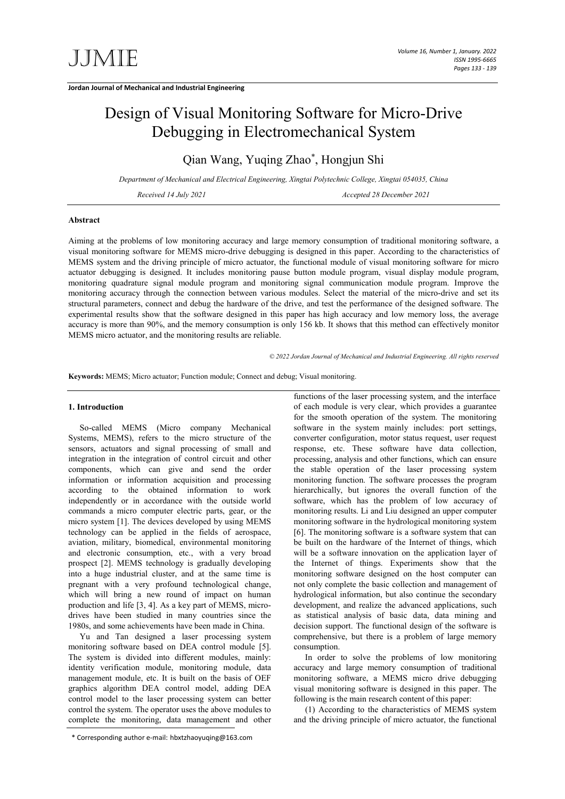# Design of Visual Monitoring Software for Micro-Drive Debugging in Electromechanical System

Qian Wang, Yuqing Zhao\* , Hongjun Shi

*Department of Mechanical and Electrical Engineering, Xingtai Polytechnic College, Xingtai 054035, China*

*Received 14 July 2021 Accepted 28 December 2021*

### **Abstract**

Aiming at the problems of low monitoring accuracy and large memory consumption of traditional monitoring software, a visual monitoring software for MEMS micro-drive debugging is designed in this paper. According to the characteristics of MEMS system and the driving principle of micro actuator, the functional module of visual monitoring software for micro actuator debugging is designed. It includes monitoring pause button module program, visual display module program, monitoring quadrature signal module program and monitoring signal communication module program. Improve the monitoring accuracy through the connection between various modules. Select the material of the micro-drive and set its structural parameters, connect and debug the hardware of the drive, and test the performance of the designed software. The experimental results show that the software designed in this paper has high accuracy and low memory loss, the average accuracy is more than 90%, and the memory consumption is only 156 kb. It shows that this method can effectively monitor MEMS micro actuator, and the monitoring results are reliable.

*© 2022 Jordan Journal of Mechanical and Industrial Engineering. All rights reserved*

**Keywords:** MEMS; Micro actuator; Function module; Connect and debug; Visual monitoring.

## **1. Introduction**

So-called MEMS (Micro company Mechanical Systems, MEMS), refers to the micro structure of the sensors, actuators and signal processing of small and integration in the integration of control circuit and other components, which can give and send the order information or information acquisition and processing according to the obtained information to work independently or in accordance with the outside world commands a micro computer electric parts, gear, or the micro system [1]. The devices developed by using MEMS technology can be applied in the fields of aerospace, aviation, military, biomedical, environmental monitoring and electronic consumption, etc., with a very broad prospect [2]. MEMS technology is gradually developing into a huge industrial cluster, and at the same time is pregnant with a very profound technological change, which will bring a new round of impact on human production and life [3, 4]. As a key part of MEMS, microdrives have been studied in many countries since the 1980s, and some achievements have been made in China.

Yu and Tan designed a laser processing system monitoring software based on DEA control module [5]. The system is divided into different modules, mainly: identity verification module, monitoring module, data management module, etc. It is built on the basis of OEF graphics algorithm DEA control model, adding DEA control model to the laser processing system can better control the system. The operator uses the above modules to complete the monitoring, data management and other functions of the laser processing system, and the interface of each module is very clear, which provides a guarantee for the smooth operation of the system. The monitoring software in the system mainly includes: port settings, converter configuration, motor status request, user request response, etc. These software have data collection, processing, analysis and other functions, which can ensure the stable operation of the laser processing system monitoring function. The software processes the program hierarchically, but ignores the overall function of the software, which has the problem of low accuracy of monitoring results. Li and Liu designed an upper computer monitoring software in the hydrological monitoring system [6]. The monitoring software is a software system that can be built on the hardware of the Internet of things, which will be a software innovation on the application layer of the Internet of things. Experiments show that the monitoring software designed on the host computer can not only complete the basic collection and management of hydrological information, but also continue the secondary development, and realize the advanced applications, such as statistical analysis of basic data, data mining and decision support. The functional design of the software is comprehensive, but there is a problem of large memory consumption.

In order to solve the problems of low monitoring accuracy and large memory consumption of traditional monitoring software, a MEMS micro drive debugging visual monitoring software is designed in this paper. The following is the main research content of this paper:

(1) According to the characteristics of MEMS system and the driving principle of micro actuator, the functional

<sup>\*</sup> Corresponding author e-mail: hbxtzhaoyuqing@163.com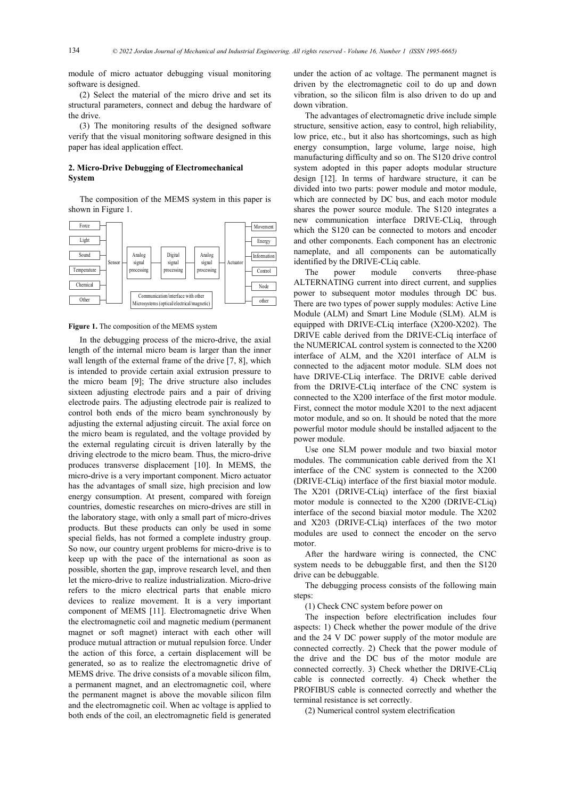module of micro actuator debugging visual monitoring software is designed.

(2) Select the material of the micro drive and set its structural parameters, connect and debug the hardware of the drive.

(3) The monitoring results of the designed software verify that the visual monitoring software designed in this paper has ideal application effect.

## **2. Micro-Drive Debugging of Electromechanical System**

The composition of the MEMS system in this paper is shown in Figure 1.



#### **Figure 1.** The composition of the MEMS system

In the debugging process of the micro-drive, the axial length of the internal micro beam is larger than the inner wall length of the external frame of the drive [7, 8], which is intended to provide certain axial extrusion pressure to the micro beam [9]; The drive structure also includes sixteen adjusting electrode pairs and a pair of driving electrode pairs. The adjusting electrode pair is realized to control both ends of the micro beam synchronously by adjusting the external adjusting circuit. The axial force on the micro beam is regulated, and the voltage provided by the external regulating circuit is driven laterally by the driving electrode to the micro beam. Thus, the micro-drive produces transverse displacement [10]. In MEMS, the micro-drive is a very important component. Micro actuator has the advantages of small size, high precision and low energy consumption. At present, compared with foreign countries, domestic researches on micro-drives are still in the laboratory stage, with only a small part of micro-drives products. But these products can only be used in some special fields, has not formed a complete industry group. So now, our country urgent problems for micro-drive is to keep up with the pace of the international as soon as possible, shorten the gap, improve research level, and then let the micro-drive to realize industrialization. Micro-drive refers to the micro electrical parts that enable micro devices to realize movement. It is a very important component of MEMS [11]. Electromagnetic drive When the electromagnetic coil and magnetic medium (permanent magnet or soft magnet) interact with each other will produce mutual attraction or mutual repulsion force. Under the action of this force, a certain displacement will be generated, so as to realize the electromagnetic drive of MEMS drive. The drive consists of a movable silicon film, a permanent magnet, and an electromagnetic coil, where the permanent magnet is above the movable silicon film and the electromagnetic coil. When ac voltage is applied to both ends of the coil, an electromagnetic field is generated

under the action of ac voltage. The permanent magnet is driven by the electromagnetic coil to do up and down vibration, so the silicon film is also driven to do up and down vibration.

The advantages of electromagnetic drive include simple structure, sensitive action, easy to control, high reliability, low price, etc., but it also has shortcomings, such as high energy consumption, large volume, large noise, high manufacturing difficulty and so on. The S120 drive control system adopted in this paper adopts modular structure design [12]. In terms of hardware structure, it can be divided into two parts: power module and motor module, which are connected by DC bus, and each motor module shares the power source module. The S120 integrates a new communication interface DRIVE-CLiq, through which the S120 can be connected to motors and encoder and other components. Each component has an electronic nameplate, and all components can be automatically identified by the DRIVE-CLiq cable.

The power module converts three-phase ALTERNATING current into direct current, and supplies power to subsequent motor modules through DC bus. There are two types of power supply modules: Active Line Module (ALM) and Smart Line Module (SLM). ALM is equipped with DRIVE-CLiq interface (X200-X202). The DRIVE cable derived from the DRIVE-CLiq interface of the NUMERICAL control system is connected to the X200 interface of ALM, and the X201 interface of ALM is connected to the adjacent motor module. SLM does not have DRIVE-CLiq interface. The DRIVE cable derived from the DRIVE-CLiq interface of the CNC system is connected to the X200 interface of the first motor module. First, connect the motor module X201 to the next adjacent motor module, and so on. It should be noted that the more powerful motor module should be installed adjacent to the power module.

Use one SLM power module and two biaxial motor modules. The communication cable derived from the X1 interface of the CNC system is connected to the X200 (DRIVE-CLiq) interface of the first biaxial motor module. The X201 (DRIVE-CLiq) interface of the first biaxial motor module is connected to the X200 (DRIVE-CLiq) interface of the second biaxial motor module. The X202 and X203 (DRIVE-CLiq) interfaces of the two motor modules are used to connect the encoder on the servo motor.

After the hardware wiring is connected, the CNC system needs to be debuggable first, and then the S120 drive can be debuggable.

The debugging process consists of the following main steps:

(1) Check CNC system before power on

The inspection before electrification includes four aspects: 1) Check whether the power module of the drive and the 24 V DC power supply of the motor module are connected correctly. 2) Check that the power module of the drive and the DC bus of the motor module are connected correctly. 3) Check whether the DRIVE-CLiq cable is connected correctly. 4) Check whether the PROFIBUS cable is connected correctly and whether the terminal resistance is set correctly.

(2) Numerical control system electrification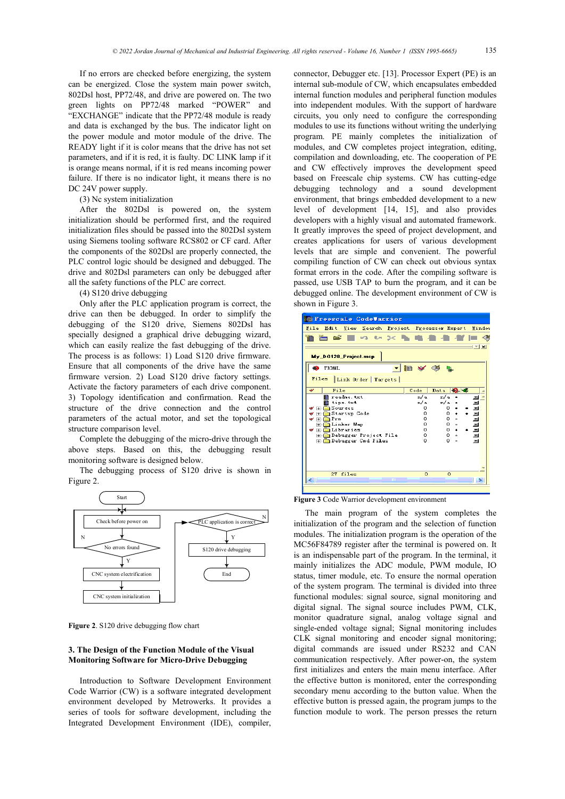If no errors are checked before energizing, the system can be energized. Close the system main power switch, 802Dsl host, PP72/48, and drive are powered on. The two green lights on PP72/48 marked "POWER" and "EXCHANGE" indicate that the PP72/48 module is ready and data is exchanged by the bus. The indicator light on the power module and motor module of the drive. The READY light if it is color means that the drive has not set parameters, and if it is red, it is faulty. DC LINK lamp if it is orange means normal, if it is red means incoming power failure. If there is no indicator light, it means there is no DC 24V power supply.

(3) Nc system initialization

After the 802Dsl is powered on, the system initialization should be performed first, and the required initialization files should be passed into the 802Dsl system using Siemens tooling software RCS802 or CF card. After the components of the 802Dsl are properly connected, the PLC control logic should be designed and debugged. The drive and 802Dsl parameters can only be debugged after all the safety functions of the PLC are correct.

(4) S120 drive debugging

Only after the PLC application program is correct, the drive can then be debugged. In order to simplify the debugging of the S120 drive, Siemens 802Dsl has specially designed a graphical drive debugging wizard, which can easily realize the fast debugging of the drive. The process is as follows: 1) Load S120 drive firmware. Ensure that all components of the drive have the same firmware version. 2) Load S120 drive factory settings. Activate the factory parameters of each drive component. 3) Topology identification and confirmation. Read the structure of the drive connection and the control parameters of the actual motor, and set the topological structure comparison level.

Complete the debugging of the micro-drive through the above steps. Based on this, the debugging result monitoring software is designed below.

The debugging process of S120 drive is shown in Figure 2.



**Figure 2**. S120 drive debugging flow chart

## **3. The Design of the Function Module of the Visual Monitoring Software for Micro-Drive Debugging**

Introduction to Software Development Environment Code Warrior (CW) is a software integrated development environment developed by Metrowerks. It provides a series of tools for software development, including the Integrated Development Environment (IDE), compiler, connector, Debugger etc. [13]. Processor Expert (PE) is an internal sub-module of CW, which encapsulates embedded internal function modules and peripheral function modules into independent modules. With the support of hardware circuits, you only need to configure the corresponding modules to use its functions without writing the underlying program. PE mainly completes the initialization of modules, and CW completes project integration, editing, compilation and downloading, etc. The cooperation of PE and CW effectively improves the development speed based on Freescale chip systems. CW has cutting-edge debugging technology and a sound development environment, that brings embedded development to a new level of development [14, 15], and also provides developers with a highly visual and automated framework. It greatly improves the speed of project development, and creates applications for users of various development levels that are simple and convenient. The powerful compiling function of CW can check out obvious syntax format errors in the code. After the compiling software is passed, use USB TAP to burn the program, and it can be debugged online. The development environment of CW is shown in Figure 3.



**Figure 3** Code Warrior development environment

The main program of the system completes the initialization of the program and the selection of function modules. The initialization program is the operation of the MC56F84789 register after the terminal is powered on. It is an indispensable part of the program. In the terminal, it mainly initializes the ADC module, PWM module, IO status, timer module, etc. To ensure the normal operation of the system program. The terminal is divided into three functional modules: signal source, signal monitoring and digital signal. The signal source includes PWM, CLK, monitor quadrature signal, analog voltage signal and single-ended voltage signal; Signal monitoring includes CLK signal monitoring and encoder signal monitoring; digital commands are issued under RS232 and CAN communication respectively. After power-on, the system first initializes and enters the main menu interface. After the effective button is monitored, enter the corresponding secondary menu according to the button value. When the effective button is pressed again, the program jumps to the function module to work. The person presses the return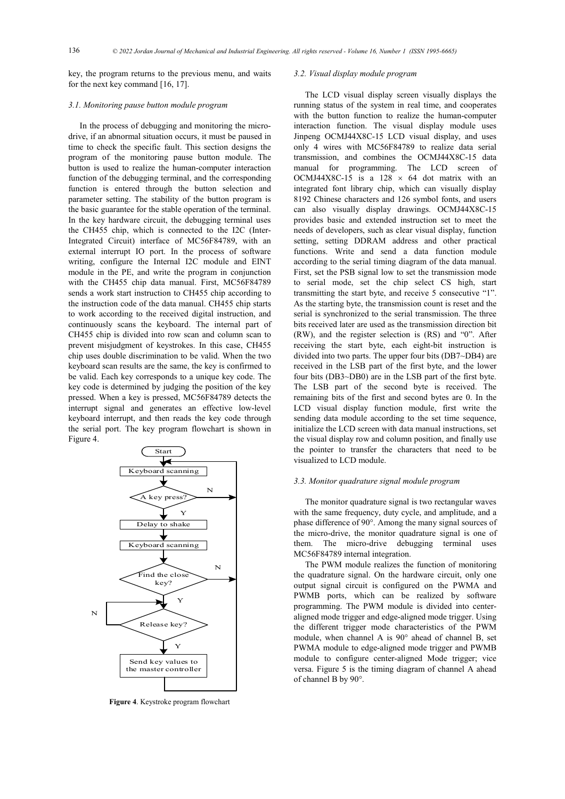key, the program returns to the previous menu, and waits for the next key command [16, 17].

#### *3.1. Monitoring pause button module program*

In the process of debugging and monitoring the microdrive, if an abnormal situation occurs, it must be paused in time to check the specific fault. This section designs the program of the monitoring pause button module. The button is used to realize the human-computer interaction function of the debugging terminal, and the corresponding function is entered through the button selection and parameter setting. The stability of the button program is the basic guarantee for the stable operation of the terminal. In the key hardware circuit, the debugging terminal uses the CH455 chip, which is connected to the I2C (Inter-Integrated Circuit) interface of MC56F84789, with an external interrupt IO port. In the process of software writing, configure the Internal I2C module and EINT module in the PE, and write the program in conjunction with the CH455 chip data manual. First, MC56F84789 sends a work start instruction to CH455 chip according to the instruction code of the data manual. CH455 chip starts to work according to the received digital instruction, and continuously scans the keyboard. The internal part of CH455 chip is divided into row scan and column scan to prevent misjudgment of keystrokes. In this case, CH455 chip uses double discrimination to be valid. When the two keyboard scan results are the same, the key is confirmed to be valid. Each key corresponds to a unique key code. The key code is determined by judging the position of the key pressed. When a key is pressed, MC56F84789 detects the interrupt signal and generates an effective low-level keyboard interrupt, and then reads the key code through the serial port. The key program flowchart is shown in Figure 4.



**Figure 4**. Keystroke program flowchart

## *3.2. Visual display module program*

The LCD visual display screen visually displays the running status of the system in real time, and cooperates with the button function to realize the human-computer interaction function. The visual display module uses Jinpeng OCMJ44X8C-15 LCD visual display, and uses only 4 wires with MC56F84789 to realize data serial transmission, and combines the OCMJ44X8C-15 data manual for programming. The LCD screen of OCMJ44X8C-15 is a  $128 \times 64$  dot matrix with an integrated font library chip, which can visually display 8192 Chinese characters and 126 symbol fonts, and users can also visually display drawings. OCMJ44X8C-15 provides basic and extended instruction set to meet the needs of developers, such as clear visual display, function setting, setting DDRAM address and other practical functions. Write and send a data function module according to the serial timing diagram of the data manual. First, set the PSB signal low to set the transmission mode to serial mode, set the chip select CS high, start transmitting the start byte, and receive 5 consecutive "1". As the starting byte, the transmission count is reset and the serial is synchronized to the serial transmission. The three bits received later are used as the transmission direction bit (RW), and the register selection is (RS) and "0". After receiving the start byte, each eight-bit instruction is divided into two parts. The upper four bits (DB7~DB4) are received in the LSB part of the first byte, and the lower four bits (DB3~DB0) are in the LSB part of the first byte. The LSB part of the second byte is received. The remaining bits of the first and second bytes are 0. In the LCD visual display function module, first write the sending data module according to the set time sequence, initialize the LCD screen with data manual instructions, set the visual display row and column position, and finally use the pointer to transfer the characters that need to be visualized to LCD module.

#### *3.3. Monitor quadrature signal module program*

The monitor quadrature signal is two rectangular waves with the same frequency, duty cycle, and amplitude, and a phase difference of 90°. Among the many signal sources of the micro-drive, the monitor quadrature signal is one of them. The micro-drive debugging terminal uses MC56F84789 internal integration.

The PWM module realizes the function of monitoring the quadrature signal. On the hardware circuit, only one output signal circuit is configured on the PWMA and PWMB ports, which can be realized by software programming. The PWM module is divided into centeraligned mode trigger and edge-aligned mode trigger. Using the different trigger mode characteristics of the PWM module, when channel A is 90° ahead of channel B, set PWMA module to edge-aligned mode trigger and PWMB module to configure center-aligned Mode trigger; vice versa. Figure 5 is the timing diagram of channel A ahead of channel B by 90°.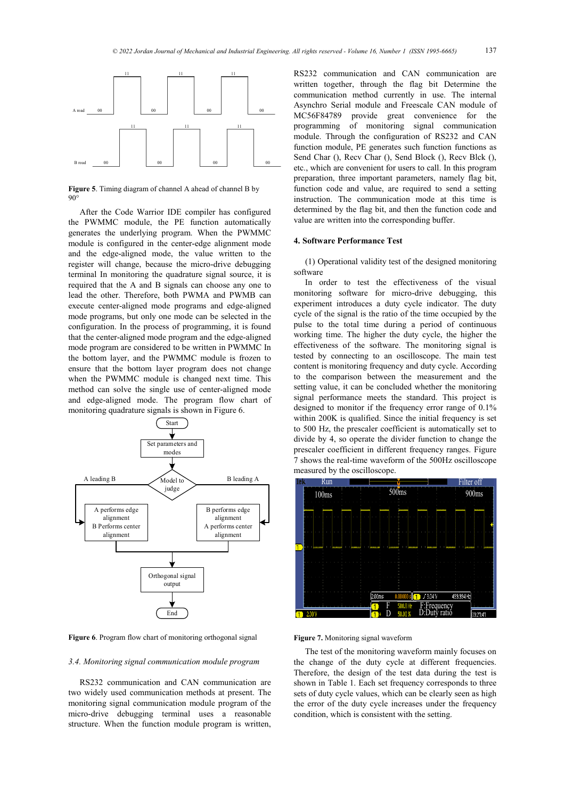

**Figure 5**. Timing diagram of channel A ahead of channel B by 90°

After the Code Warrior IDE compiler has configured the PWMMC module, the PE function automatically generates the underlying program. When the PWMMC module is configured in the center-edge alignment mode and the edge-aligned mode, the value written to the register will change, because the micro-drive debugging terminal In monitoring the quadrature signal source, it is required that the A and B signals can choose any one to lead the other. Therefore, both PWMA and PWMB can execute center-aligned mode programs and edge-aligned mode programs, but only one mode can be selected in the configuration. In the process of programming, it is found that the center-aligned mode program and the edge-aligned mode program are considered to be written in PWMMC In the bottom layer, and the PWMMC module is frozen to ensure that the bottom layer program does not change when the PWMMC module is changed next time. This method can solve the single use of center-aligned mode and edge-aligned mode. The program flow chart of monitoring quadrature signals is shown in Figure 6.



**Figure 6**. Program flow chart of monitoring orthogonal signal

#### *3.4. Monitoring signal communication module program*

RS232 communication and CAN communication are two widely used communication methods at present. The monitoring signal communication module program of the micro-drive debugging terminal uses a reasonable structure. When the function module program is written,

RS232 communication and CAN communication are written together, through the flag bit Determine the communication method currently in use. The internal Asynchro Serial module and Freescale CAN module of MC56F84789 provide great convenience for the programming of monitoring signal communication module. Through the configuration of RS232 and CAN function module, PE generates such function functions as Send Char (), Recv Char (), Send Block (), Recv Blck (), etc., which are convenient for users to call. In this program preparation, three important parameters, namely flag bit, function code and value, are required to send a setting instruction. The communication mode at this time is determined by the flag bit, and then the function code and value are written into the corresponding buffer.

#### **4. Software Performance Test**

(1) Operational validity test of the designed monitoring software

In order to test the effectiveness of the visual monitoring software for micro-drive debugging, this experiment introduces a duty cycle indicator. The duty cycle of the signal is the ratio of the time occupied by the pulse to the total time during a period of continuous working time. The higher the duty cycle, the higher the effectiveness of the software. The monitoring signal is tested by connecting to an oscilloscope. The main test content is monitoring frequency and duty cycle. According to the comparison between the measurement and the setting value, it can be concluded whether the monitoring signal performance meets the standard. This project is designed to monitor if the frequency error range of 0.1% within 200K is qualified. Since the initial frequency is set to 500 Hz, the prescaler coefficient is automatically set to divide by 4, so operate the divider function to change the prescaler coefficient in different frequency ranges. Figure 7 shows the real-time waveform of the 500Hz oscilloscope measured by the oscilloscope.



## **Figure 7.** Monitoring signal waveform

The test of the monitoring waveform mainly focuses on the change of the duty cycle at different frequencies. Therefore, the design of the test data during the test is shown in Table 1. Each set frequency corresponds to three sets of duty cycle values, which can be clearly seen as high the error of the duty cycle increases under the frequency condition, which is consistent with the setting.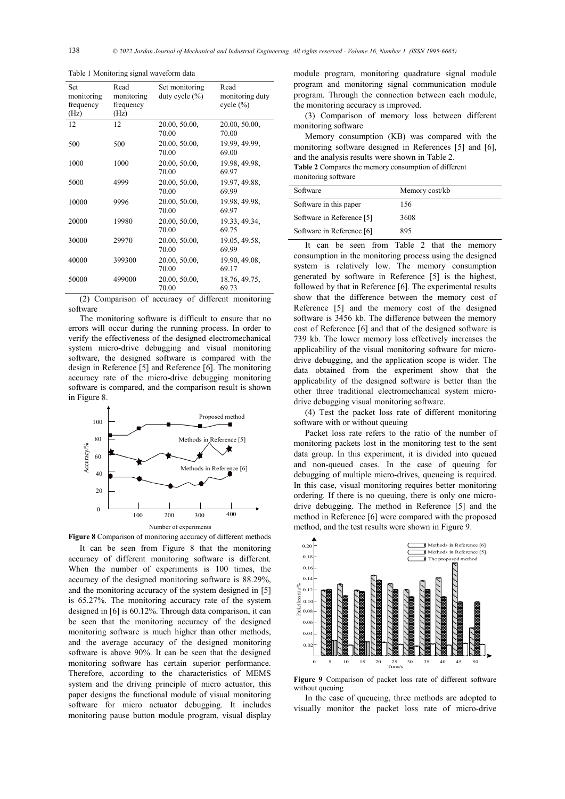| Set<br>monitoring<br>frequency<br>(Hz) | Read<br>monitoring<br>frequency<br>(Hz) | Set monitoring<br>duty cycle $(\% )$ | Read<br>monitoring duty<br>cycle $(\% )$ |
|----------------------------------------|-----------------------------------------|--------------------------------------|------------------------------------------|
| 12                                     | 12                                      | 20.00, 50.00,<br>70.00               | 20.00, 50.00,<br>70.00                   |
| 500                                    | 500                                     | 20.00, 50.00,<br>70.00               | 19.99, 49.99,<br>69.00                   |
| 1000                                   | 1000                                    | 20.00, 50.00,<br>70.00               | 19.98, 49.98,<br>69.97                   |
| 5000                                   | 4999                                    | 20.00, 50.00,<br>70.00               | 19.97, 49.88,<br>69.99                   |
| 10000                                  | 9996                                    | 20.00, 50.00,<br>70.00               | 19.98, 49.98,<br>69.97                   |
| 20000                                  | 19980                                   | 20.00, 50.00,<br>70.00               | 19.33, 49.34,<br>69.75                   |
| 30000                                  | 29970                                   | 20.00, 50.00,<br>70.00               | 19.05, 49.58,<br>69.99                   |
| 40000                                  | 399300                                  | 20.00, 50.00,<br>70.00               | 19.90, 49.08,<br>69.17                   |
| 50000                                  | 499000                                  | 20.00, 50.00,<br>70.00               | 18.76, 49.75,<br>69.73                   |

Table 1 Monitoring signal waveform data

(2) Comparison of accuracy of different monitoring software

The monitoring software is difficult to ensure that no errors will occur during the running process. In order to verify the effectiveness of the designed electromechanical system micro-drive debugging and visual monitoring software, the designed software is compared with the design in Reference [5] and Reference [6]. The monitoring accuracy rate of the micro-drive debugging monitoring software is compared, and the comparison result is shown in Figure 8.



**Figure 8** Comparison of monitoring accuracy of different methods

It can be seen from Figure 8 that the monitoring accuracy of different monitoring software is different. When the number of experiments is 100 times, the accuracy of the designed monitoring software is 88.29%, and the monitoring accuracy of the system designed in [5] is 65.27%. The monitoring accuracy rate of the system designed in [6] is 60.12%. Through data comparison, it can be seen that the monitoring accuracy of the designed monitoring software is much higher than other methods, and the average accuracy of the designed monitoring software is above 90%. It can be seen that the designed monitoring software has certain superior performance. Therefore, according to the characteristics of MEMS system and the driving principle of micro actuator, this paper designs the functional module of visual monitoring software for micro actuator debugging. It includes monitoring pause button module program, visual display

module program, monitoring quadrature signal module program and monitoring signal communication module program. Through the connection between each module, the monitoring accuracy is improved.

(3) Comparison of memory loss between different monitoring software

Memory consumption (KB) was compared with the monitoring software designed in References [5] and [6], and the analysis results were shown in Table 2.

**Table 2** Compares the memory consumption of different monitoring software

| Software                  | Memory cost/kb |
|---------------------------|----------------|
| Software in this paper    | 156            |
| Software in Reference [5] | 3608           |
| Software in Reference [6] | 895            |

It can be seen from Table 2 that the memory consumption in the monitoring process using the designed system is relatively low. The memory consumption generated by software in Reference [5] is the highest, followed by that in Reference [6]. The experimental results show that the difference between the memory cost of Reference [5] and the memory cost of the designed software is 3456 kb. The difference between the memory cost of Reference [6] and that of the designed software is 739 kb. The lower memory loss effectively increases the applicability of the visual monitoring software for microdrive debugging, and the application scope is wider. The data obtained from the experiment show that the applicability of the designed software is better than the other three traditional electromechanical system microdrive debugging visual monitoring software.

(4) Test the packet loss rate of different monitoring software with or without queuing

Packet loss rate refers to the ratio of the number of monitoring packets lost in the monitoring test to the sent data group. In this experiment, it is divided into queued and non-queued cases. In the case of queuing for debugging of multiple micro-drives, queueing is required. In this case, visual monitoring requires better monitoring ordering. If there is no queuing, there is only one microdrive debugging. The method in Reference [5] and the method in Reference [6] were compared with the proposed method, and the test results were shown in Figure 9.



**Figure 9** Comparison of packet loss rate of different software without queuing

In the case of queueing, three methods are adopted to visually monitor the packet loss rate of micro-drive